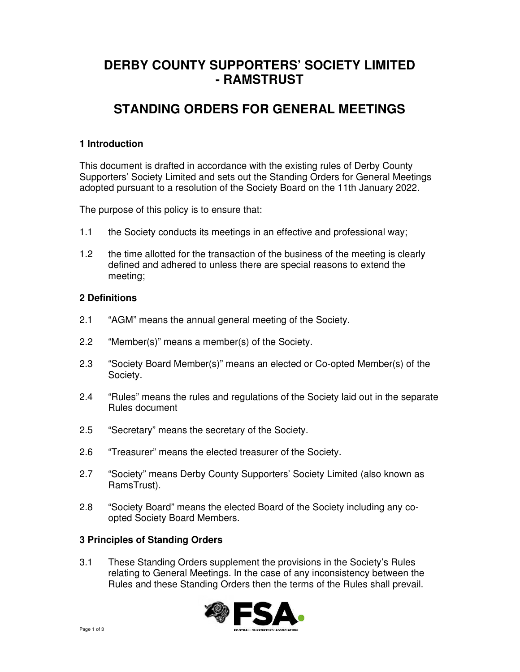# **DERBY COUNTY SUPPORTERS' SOCIETY LIMITED - RAMSTRUST**

# **STANDING ORDERS FOR GENERAL MEETINGS**

## **1 Introduction**

This document is drafted in accordance with the existing rules of Derby County Supporters' Society Limited and sets out the Standing Orders for General Meetings adopted pursuant to a resolution of the Society Board on the 11th January 2022.

The purpose of this policy is to ensure that:

- 1.1 the Society conducts its meetings in an effective and professional way;
- 1.2 the time allotted for the transaction of the business of the meeting is clearly defined and adhered to unless there are special reasons to extend the meeting;

#### **2 Definitions**

- 2.1 "AGM" means the annual general meeting of the Society.
- 2.2 "Member(s)" means a member(s) of the Society.
- 2.3 "Society Board Member(s)" means an elected or Co-opted Member(s) of the Society.
- 2.4 "Rules" means the rules and regulations of the Society laid out in the separate Rules document
- 2.5 "Secretary" means the secretary of the Society.
- 2.6 "Treasurer" means the elected treasurer of the Society.
- 2.7 "Society" means Derby County Supporters' Society Limited (also known as RamsTrust).
- 2.8 "Society Board" means the elected Board of the Society including any co opted Society Board Members.

#### **3 Principles of Standing Orders**

3.1 These Standing Orders supplement the provisions in the Society's Rules relating to General Meetings. In the case of any inconsistency between the Rules and these Standing Orders then the terms of the Rules shall prevail.

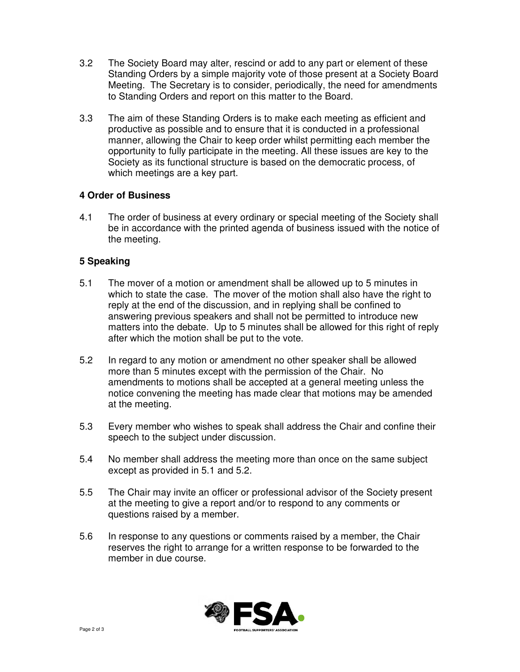- 3.2 The Society Board may alter, rescind or add to any part or element of these Standing Orders by a simple majority vote of those present at a Society Board Meeting. The Secretary is to consider, periodically, the need for amendments to Standing Orders and report on this matter to the Board.
- 3.3 The aim of these Standing Orders is to make each meeting as efficient and productive as possible and to ensure that it is conducted in a professional manner, allowing the Chair to keep order whilst permitting each member the opportunity to fully participate in the meeting. All these issues are key to the Society as its functional structure is based on the democratic process, of which meetings are a key part.

### **4 Order of Business**

4.1 The order of business at every ordinary or special meeting of the Society shall be in accordance with the printed agenda of business issued with the notice of the meeting.

# **5 Speaking**

- 5.1 The mover of a motion or amendment shall be allowed up to 5 minutes in which to state the case. The mover of the motion shall also have the right to reply at the end of the discussion, and in replying shall be confined to answering previous speakers and shall not be permitted to introduce new matters into the debate. Up to 5 minutes shall be allowed for this right of reply after which the motion shall be put to the vote.
- 5.2 In regard to any motion or amendment no other speaker shall be allowed more than 5 minutes except with the permission of the Chair. No amendments to motions shall be accepted at a general meeting unless the notice convening the meeting has made clear that motions may be amended at the meeting.
- 5.3 Every member who wishes to speak shall address the Chair and confine their speech to the subject under discussion.
- 5.4 No member shall address the meeting more than once on the same subject except as provided in 5.1 and 5.2.
- 5.5 The Chair may invite an officer or professional advisor of the Society present at the meeting to give a report and/or to respond to any comments or questions raised by a member.
- 5.6 In response to any questions or comments raised by a member, the Chair reserves the right to arrange for a written response to be forwarded to the member in due course.